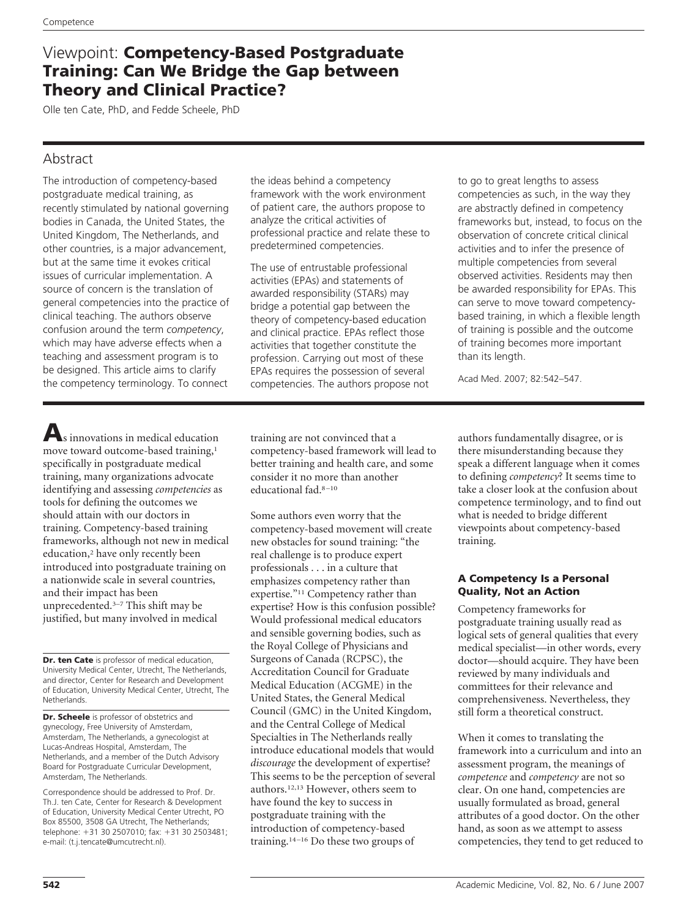# Viewpoint: **Competency-Based Postgraduate Training: Can We Bridge the Gap between Theory and Clinical Practice?**

Olle ten Cate, PhD, and Fedde Scheele, PhD

# Abstract

The introduction of competency-based postgraduate medical training, as recently stimulated by national governing bodies in Canada, the United States, the United Kingdom, The Netherlands, and other countries, is a major advancement, but at the same time it evokes critical issues of curricular implementation. A source of concern is the translation of general competencies into the practice of clinical teaching. The authors observe confusion around the term *competency*, which may have adverse effects when a teaching and assessment program is to be designed. This article aims to clarify the competency terminology. To connect

the ideas behind a competency framework with the work environment of patient care, the authors propose to analyze the critical activities of professional practice and relate these to predetermined competencies.

The use of entrustable professional activities (EPAs) and statements of awarded responsibility (STARs) may bridge a potential gap between the theory of competency-based education and clinical practice. EPAs reflect those activities that together constitute the profession. Carrying out most of these EPAs requires the possession of several competencies. The authors propose not to go to great lengths to assess competencies as such, in the way they are abstractly defined in competency frameworks but, instead, to focus on the observation of concrete critical clinical activities and to infer the presence of multiple competencies from several observed activities. Residents may then be awarded responsibility for EPAs. This can serve to move toward competencybased training, in which a flexible length of training is possible and the outcome of training becomes more important than its length.

Acad Med. 2007; 82:542–547.

**A**s innovations in medical education move toward outcome-based training,<sup>1</sup> specifically in postgraduate medical training, many organizations advocate identifying and assessing *competencies* as tools for defining the outcomes we should attain with our doctors in training. Competency-based training frameworks, although not new in medical education,<sup>2</sup> have only recently been introduced into postgraduate training on a nationwide scale in several countries, and their impact has been unprecedented.3–7 This shift may be justified, but many involved in medical

**Dr. ten Cate** is professor of medical education, University Medical Center, Utrecht, The Netherlands, and director, Center for Research and Development of Education, University Medical Center, Utrecht, The Netherlands.

**Dr. Scheele** is professor of obstetrics and gynecology, Free University of Amsterdam, Amsterdam, The Netherlands, a gynecologist at Lucas-Andreas Hospital, Amsterdam, The Netherlands, and a member of the Dutch Advisory Board for Postgraduate Curricular Development, Amsterdam, The Netherlands.

Correspondence should be addressed to Prof. Dr. Th.J. ten Cate, Center for Research & Development of Education, University Medical Center Utrecht, PO Box 85500, 3508 GA Utrecht, The Netherlands; telephone: +31 30 2507010; fax: +31 30 2503481; e-mail: (t.j.tencate@umcutrecht.nl).

training are not convinced that a competency-based framework will lead to better training and health care, and some consider it no more than another educational fad.8 –10

Some authors even worry that the competency-based movement will create new obstacles for sound training: "the real challenge is to produce expert professionals . . . in a culture that emphasizes competency rather than expertise."11 Competency rather than expertise? How is this confusion possible? Would professional medical educators and sensible governing bodies, such as the Royal College of Physicians and Surgeons of Canada (RCPSC), the Accreditation Council for Graduate Medical Education (ACGME) in the United States, the General Medical Council (GMC) in the United Kingdom, and the Central College of Medical Specialties in The Netherlands really introduce educational models that would *discourage* the development of expertise? This seems to be the perception of several authors.12,13 However, others seem to have found the key to success in postgraduate training with the introduction of competency-based training.14 –16 Do these two groups of

authors fundamentally disagree, or is there misunderstanding because they speak a different language when it comes to defining *competency*? It seems time to take a closer look at the confusion about competence terminology, and to find out what is needed to bridge different viewpoints about competency-based training.

### **A Competency Is a Personal Quality, Not an Action**

Competency frameworks for postgraduate training usually read as logical sets of general qualities that every medical specialist—in other words, every doctor—should acquire. They have been reviewed by many individuals and committees for their relevance and comprehensiveness. Nevertheless, they still form a theoretical construct.

When it comes to translating the framework into a curriculum and into an assessment program, the meanings of *competence* and *competency* are not so clear. On one hand, competencies are usually formulated as broad, general attributes of a good doctor. On the other hand, as soon as we attempt to assess competencies, they tend to get reduced to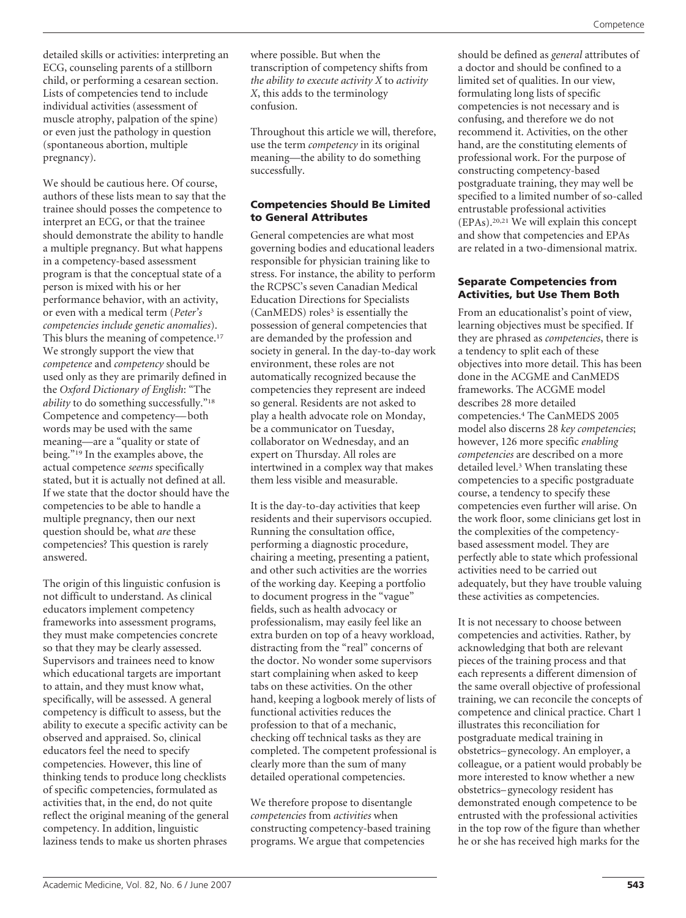detailed skills or activities: interpreting an ECG, counseling parents of a stillborn child, or performing a cesarean section. Lists of competencies tend to include individual activities (assessment of muscle atrophy, palpation of the spine) or even just the pathology in question (spontaneous abortion, multiple pregnancy).

We should be cautious here. Of course, authors of these lists mean to say that the trainee should posses the competence to interpret an ECG, or that the trainee should demonstrate the ability to handle a multiple pregnancy. But what happens in a competency-based assessment program is that the conceptual state of a person is mixed with his or her performance behavior, with an activity, or even with a medical term (*Peter's competencies include genetic anomalies*). This blurs the meaning of competence.<sup>17</sup> We strongly support the view that *competence* and *competency* should be used only as they are primarily defined in the *Oxford Dictionary of English*: "The *ability* to do something successfully."<sup>18</sup> Competence and competency— both words may be used with the same meaning—are a "quality or state of being."19 In the examples above, the actual competence *seems* specifically stated, but it is actually not defined at all. If we state that the doctor should have the competencies to be able to handle a multiple pregnancy, then our next question should be, what *are* these competencies? This question is rarely answered.

The origin of this linguistic confusion is not difficult to understand. As clinical educators implement competency frameworks into assessment programs, they must make competencies concrete so that they may be clearly assessed. Supervisors and trainees need to know which educational targets are important to attain, and they must know what, specifically, will be assessed. A general competency is difficult to assess, but the ability to execute a specific activity can be observed and appraised. So, clinical educators feel the need to specify competencies. However, this line of thinking tends to produce long checklists of specific competencies, formulated as activities that, in the end, do not quite reflect the original meaning of the general competency. In addition, linguistic laziness tends to make us shorten phrases

where possible. But when the transcription of competency shifts from *the ability to execute activity X* to *activity X*, this adds to the terminology confusion.

Throughout this article we will, therefore, use the term *competency* in its original meaning—the ability to do something successfully.

### **Competencies Should Be Limited to General Attributes**

General competencies are what most governing bodies and educational leaders responsible for physician training like to stress. For instance, the ability to perform the RCPSC's seven Canadian Medical Education Directions for Specialists (CanMEDS) roles<sup>3</sup> is essentially the possession of general competencies that are demanded by the profession and society in general. In the day-to-day work environment, these roles are not automatically recognized because the competencies they represent are indeed so general. Residents are not asked to play a health advocate role on Monday, be a communicator on Tuesday, collaborator on Wednesday, and an expert on Thursday. All roles are intertwined in a complex way that makes them less visible and measurable.

It is the day-to-day activities that keep residents and their supervisors occupied. Running the consultation office, performing a diagnostic procedure, chairing a meeting, presenting a patient, and other such activities are the worries of the working day. Keeping a portfolio to document progress in the "vague" fields, such as health advocacy or professionalism, may easily feel like an extra burden on top of a heavy workload, distracting from the "real" concerns of the doctor. No wonder some supervisors start complaining when asked to keep tabs on these activities. On the other hand, keeping a logbook merely of lists of functional activities reduces the profession to that of a mechanic, checking off technical tasks as they are completed. The competent professional is clearly more than the sum of many detailed operational competencies.

We therefore propose to disentangle *competencies* from *activities* when constructing competency-based training programs. We argue that competencies

should be defined as *general* attributes of a doctor and should be confined to a limited set of qualities. In our view, formulating long lists of specific competencies is not necessary and is confusing, and therefore we do not recommend it. Activities, on the other hand, are the constituting elements of professional work. For the purpose of constructing competency-based postgraduate training, they may well be specified to a limited number of so-called entrustable professional activities (EPAs).20,21 We will explain this concept and show that competencies and EPAs are related in a two-dimensional matrix.

### **Separate Competencies from Activities, but Use Them Both**

From an educationalist's point of view, learning objectives must be specified. If they are phrased as *competencies*, there is a tendency to split each of these objectives into more detail. This has been done in the ACGME and CanMEDS frameworks. The ACGME model describes 28 more detailed competencies.4 The CanMEDS 2005 model also discerns 28 *key competencies*; however, 126 more specific *enabling competencies* are described on a more detailed level.3 When translating these competencies to a specific postgraduate course, a tendency to specify these competencies even further will arise. On the work floor, some clinicians get lost in the complexities of the competencybased assessment model. They are perfectly able to state which professional activities need to be carried out adequately, but they have trouble valuing these activities as competencies.

It is not necessary to choose between competencies and activities. Rather, by acknowledging that both are relevant pieces of the training process and that each represents a different dimension of the same overall objective of professional training, we can reconcile the concepts of competence and clinical practice. Chart 1 illustrates this reconciliation for postgraduate medical training in obstetrics– gynecology. An employer, a colleague, or a patient would probably be more interested to know whether a new obstetrics– gynecology resident has demonstrated enough competence to be entrusted with the professional activities in the top row of the figure than whether he or she has received high marks for the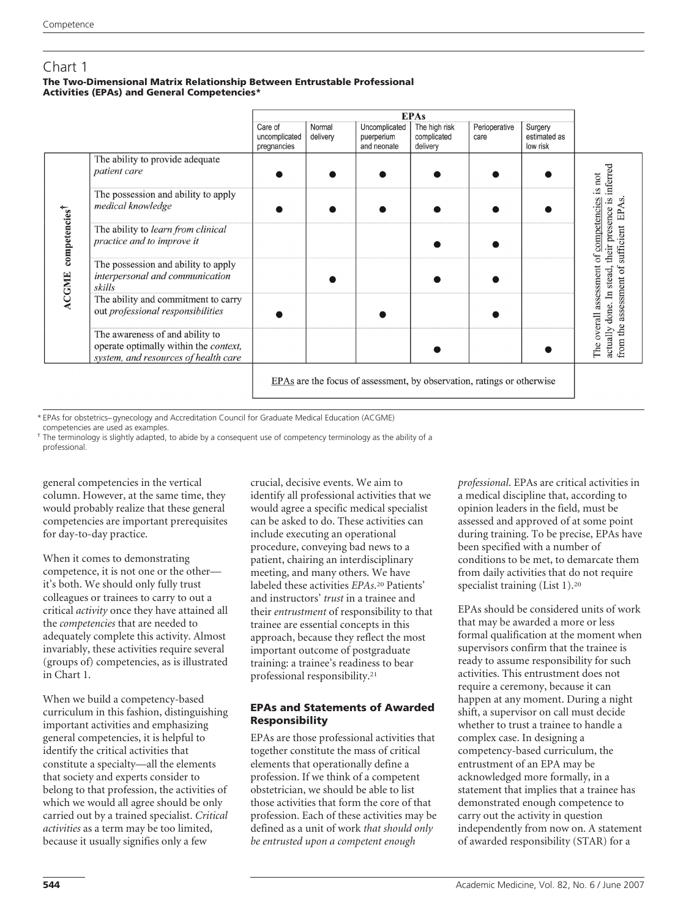# Chart 1

### **The Two-Dimensional Matrix Relationship Between Entrustable Professional Activities (EPAs) and General Competencies\***

|                                           |                                                                                                                          | <b>EPAs</b>                                                            |                    |                                            |                                          |                       |                                     |                                                                                                   |
|-------------------------------------------|--------------------------------------------------------------------------------------------------------------------------|------------------------------------------------------------------------|--------------------|--------------------------------------------|------------------------------------------|-----------------------|-------------------------------------|---------------------------------------------------------------------------------------------------|
|                                           |                                                                                                                          | Care of<br>uncomplicated<br>pregnancies                                | Normal<br>delivery | Uncomplicated<br>puerperium<br>and neonate | The high risk<br>complicated<br>delivery | Perioperative<br>care | Surgery<br>estimated as<br>low risk |                                                                                                   |
| competencies <sup>†</sup><br><b>ACGME</b> | The ability to provide adequate<br><i>patient care</i>                                                                   |                                                                        |                    |                                            |                                          |                       |                                     | inferred<br>The overall assessment of competencies is not<br>their presence is<br>stead,<br>$\Xi$ |
|                                           | The possession and ability to apply<br>medical knowledge                                                                 |                                                                        |                    |                                            |                                          |                       |                                     |                                                                                                   |
|                                           | The ability to learn from clinical<br>practice and to improve it                                                         |                                                                        |                    |                                            |                                          |                       |                                     |                                                                                                   |
|                                           | The possession and ability to apply<br>interpersonal and communication<br>skills                                         |                                                                        |                    |                                            |                                          |                       |                                     |                                                                                                   |
|                                           | The ability and commitment to carry<br>out professional responsibilities                                                 |                                                                        |                    |                                            |                                          |                       |                                     |                                                                                                   |
|                                           | The awareness of and ability to<br>operate optimally within the <i>context</i> ,<br>system, and resources of health care |                                                                        |                    |                                            |                                          |                       |                                     | actually done.                                                                                    |
|                                           |                                                                                                                          | EPAs are the focus of assessment, by observation, ratings or otherwise |                    |                                            |                                          |                       |                                     |                                                                                                   |

\* EPAs for obstetrics– gynecology and Accreditation Council for Graduate Medical Education (ACGME) competencies are used as examples.

† The terminology is slightly adapted, to abide by a consequent use of competency terminology as the ability of a professional.

general competencies in the vertical column. However, at the same time, they would probably realize that these general competencies are important prerequisites for day-to-day practice.

When it comes to demonstrating competence, it is not one or the other it's both. We should only fully trust colleagues or trainees to carry to out a critical *activity* once they have attained all the *competencies* that are needed to adequately complete this activity. Almost invariably, these activities require several (groups of) competencies, as is illustrated in Chart 1.

When we build a competency-based curriculum in this fashion, distinguishing important activities and emphasizing general competencies, it is helpful to identify the critical activities that constitute a specialty—all the elements that society and experts consider to belong to that profession, the activities of which we would all agree should be only carried out by a trained specialist. *Critical activities* as a term may be too limited, because it usually signifies only a few

crucial, decisive events. We aim to identify all professional activities that we would agree a specific medical specialist can be asked to do. These activities can include executing an operational procedure, conveying bad news to a patient, chairing an interdisciplinary meeting, and many others. We have labeled these activities *EPAs*. <sup>20</sup> Patients' and instructors' *trust* in a trainee and their *entrustment* of responsibility to that trainee are essential concepts in this approach, because they reflect the most important outcome of postgraduate training: a trainee's readiness to bear professional responsibility.21

### **EPAs and Statements of Awarded Responsibility**

EPAs are those professional activities that together constitute the mass of critical elements that operationally define a profession. If we think of a competent obstetrician, we should be able to list those activities that form the core of that profession. Each of these activities may be defined as a unit of work *that should only be entrusted upon a competent enough*

*professional*. EPAs are critical activities in a medical discipline that, according to opinion leaders in the field, must be assessed and approved of at some point during training. To be precise, EPAs have been specified with a number of conditions to be met, to demarcate them from daily activities that do not require specialist training (List 1).20

EPAs should be considered units of work that may be awarded a more or less formal qualification at the moment when supervisors confirm that the trainee is ready to assume responsibility for such activities. This entrustment does not require a ceremony, because it can happen at any moment. During a night shift, a supervisor on call must decide whether to trust a trainee to handle a complex case. In designing a competency-based curriculum, the entrustment of an EPA may be acknowledged more formally, in a statement that implies that a trainee has demonstrated enough competence to carry out the activity in question independently from now on. A statement of awarded responsibility (STAR) for a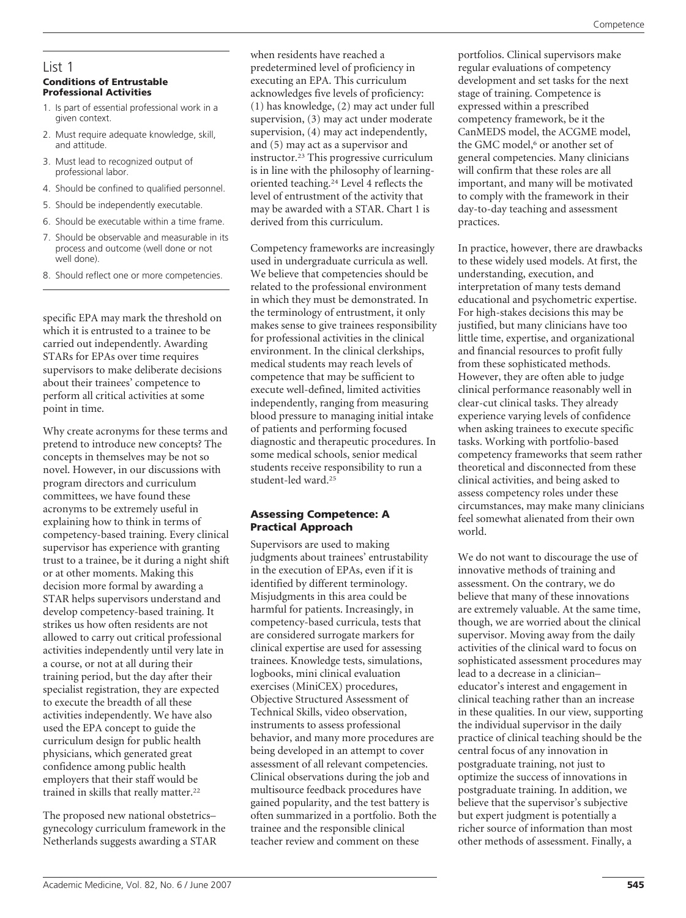#### List 1 **Conditions of Entrustable Professional Activities**

- 1. Is part of essential professional work in a given context.
- 2. Must require adequate knowledge, skill, and attitude.
- 3. Must lead to recognized output of professional labor.
- 4. Should be confined to qualified personnel.
- 5. Should be independently executable.
- 6. Should be executable within a time frame.
- 7. Should be observable and measurable in its process and outcome (well done or not well done).
- 8. Should reflect one or more competencies.

specific EPA may mark the threshold on which it is entrusted to a trainee to be carried out independently. Awarding STARs for EPAs over time requires supervisors to make deliberate decisions about their trainees' competence to perform all critical activities at some point in time.

Why create acronyms for these terms and pretend to introduce new concepts? The concepts in themselves may be not so novel. However, in our discussions with program directors and curriculum committees, we have found these acronyms to be extremely useful in explaining how to think in terms of competency-based training. Every clinical supervisor has experience with granting trust to a trainee, be it during a night shift or at other moments. Making this decision more formal by awarding a STAR helps supervisors understand and develop competency-based training. It strikes us how often residents are not allowed to carry out critical professional activities independently until very late in a course, or not at all during their training period, but the day after their specialist registration, they are expected to execute the breadth of all these activities independently. We have also used the EPA concept to guide the curriculum design for public health physicians, which generated great confidence among public health employers that their staff would be trained in skills that really matter.<sup>22</sup>

The proposed new national obstetrics– gynecology curriculum framework in the Netherlands suggests awarding a STAR

when residents have reached a predetermined level of proficiency in executing an EPA. This curriculum acknowledges five levels of proficiency: (1) has knowledge, (2) may act under full supervision, (3) may act under moderate supervision,  $(4)$  may act independently, and (5) may act as a supervisor and instructor.23 This progressive curriculum is in line with the philosophy of learningoriented teaching.24 Level 4 reflects the level of entrustment of the activity that may be awarded with a STAR. Chart 1 is derived from this curriculum.

Competency frameworks are increasingly used in undergraduate curricula as well. We believe that competencies should be related to the professional environment in which they must be demonstrated. In the terminology of entrustment, it only makes sense to give trainees responsibility for professional activities in the clinical environment. In the clinical clerkships, medical students may reach levels of competence that may be sufficient to execute well-defined, limited activities independently, ranging from measuring blood pressure to managing initial intake of patients and performing focused diagnostic and therapeutic procedures. In some medical schools, senior medical students receive responsibility to run a student-led ward.25

### **Assessing Competence: A Practical Approach**

Supervisors are used to making judgments about trainees' entrustability in the execution of EPAs, even if it is identified by different terminology. Misjudgments in this area could be harmful for patients. Increasingly, in competency-based curricula, tests that are considered surrogate markers for clinical expertise are used for assessing trainees. Knowledge tests, simulations, logbooks, mini clinical evaluation exercises (MiniCEX) procedures, Objective Structured Assessment of Technical Skills, video observation, instruments to assess professional behavior, and many more procedures are being developed in an attempt to cover assessment of all relevant competencies. Clinical observations during the job and multisource feedback procedures have gained popularity, and the test battery is often summarized in a portfolio. Both the trainee and the responsible clinical teacher review and comment on these

portfolios. Clinical supervisors make regular evaluations of competency development and set tasks for the next stage of training. Competence is expressed within a prescribed competency framework, be it the CanMEDS model, the ACGME model, the GMC model,<sup>6</sup> or another set of general competencies. Many clinicians will confirm that these roles are all important, and many will be motivated to comply with the framework in their day-to-day teaching and assessment practices.

In practice, however, there are drawbacks to these widely used models. At first, the understanding, execution, and interpretation of many tests demand educational and psychometric expertise. For high-stakes decisions this may be justified, but many clinicians have too little time, expertise, and organizational and financial resources to profit fully from these sophisticated methods. However, they are often able to judge clinical performance reasonably well in clear-cut clinical tasks. They already experience varying levels of confidence when asking trainees to execute specific tasks. Working with portfolio-based competency frameworks that seem rather theoretical and disconnected from these clinical activities, and being asked to assess competency roles under these circumstances, may make many clinicians feel somewhat alienated from their own world.

We do not want to discourage the use of innovative methods of training and assessment. On the contrary, we do believe that many of these innovations are extremely valuable. At the same time, though, we are worried about the clinical supervisor. Moving away from the daily activities of the clinical ward to focus on sophisticated assessment procedures may lead to a decrease in a clinician– educator's interest and engagement in clinical teaching rather than an increase in these qualities. In our view, supporting the individual supervisor in the daily practice of clinical teaching should be the central focus of any innovation in postgraduate training, not just to optimize the success of innovations in postgraduate training. In addition, we believe that the supervisor's subjective but expert judgment is potentially a richer source of information than most other methods of assessment. Finally, a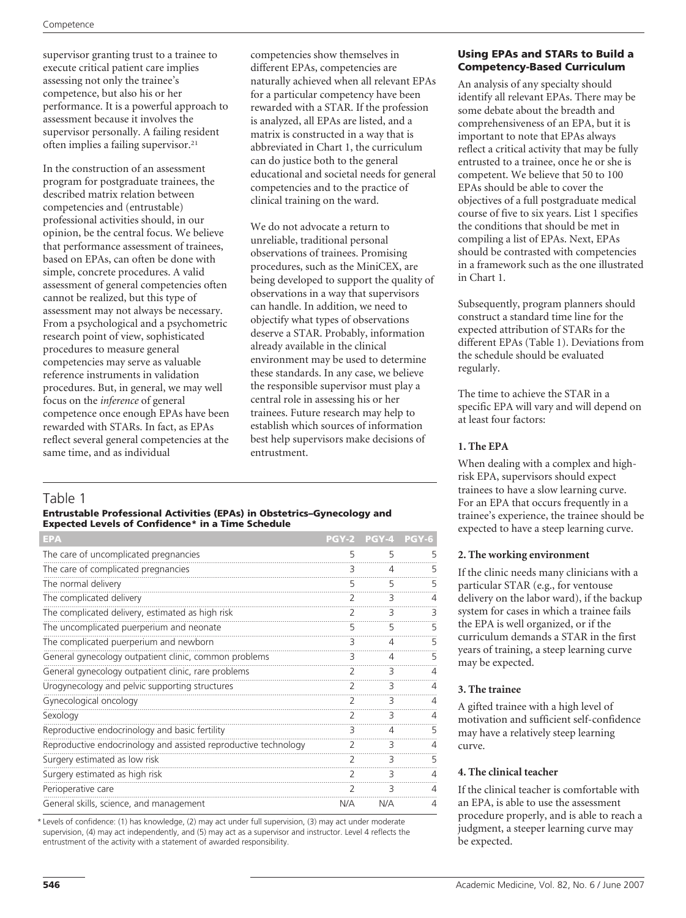supervisor granting trust to a trainee to execute critical patient care implies assessing not only the trainee's competence, but also his or her performance. It is a powerful approach to assessment because it involves the supervisor personally. A failing resident often implies a failing supervisor.<sup>21</sup>

In the construction of an assessment program for postgraduate trainees, the described matrix relation between competencies and (entrustable) professional activities should, in our opinion, be the central focus. We believe that performance assessment of trainees, based on EPAs, can often be done with simple, concrete procedures. A valid assessment of general competencies often cannot be realized, but this type of assessment may not always be necessary. From a psychological and a psychometric research point of view, sophisticated procedures to measure general competencies may serve as valuable reference instruments in validation procedures. But, in general, we may well focus on the *inference* of general competence once enough EPAs have been rewarded with STARs. In fact, as EPAs reflect several general competencies at the same time, and as individual

competencies show themselves in different EPAs, competencies are naturally achieved when all relevant EPAs for a particular competency have been rewarded with a STAR. If the profession is analyzed, all EPAs are listed, and a matrix is constructed in a way that is abbreviated in Chart 1, the curriculum can do justice both to the general educational and societal needs for general competencies and to the practice of clinical training on the ward.

We do not advocate a return to unreliable, traditional personal observations of trainees. Promising procedures, such as the MiniCEX, are being developed to support the quality of observations in a way that supervisors can handle. In addition, we need to objectify what types of observations deserve a STAR. Probably, information already available in the clinical environment may be used to determine these standards. In any case, we believe the responsible supervisor must play a central role in assessing his or her trainees. Future research may help to establish which sources of information best help supervisors make decisions of entrustment.

# Table 1

#### **Entrustable Professional Activities (EPAs) in Obstetrics–Gynecology and Expected Levels of Confidence\* in a Time Schedule**

| <b>EPA</b>                                                      | <b>PGY-2</b> | <b>PGY-4</b> | <b>PGY-6</b> |
|-----------------------------------------------------------------|--------------|--------------|--------------|
| The care of uncomplicated pregnancies                           | 5            | 5            | 5            |
| The care of complicated pregnancies                             | 3            | 4            | 5            |
| The normal delivery                                             | 5            | 5            | 5            |
| The complicated delivery                                        |              | 3            | 4            |
| The complicated delivery, estimated as high risk                |              | 3            | 3            |
| The uncomplicated puerperium and neonate                        |              | 5            | 5            |
| The complicated puerperium and newborn                          |              |              | 5            |
| General gynecology outpatient clinic, common problems           |              |              | 5            |
| General gynecology outpatient clinic, rare problems             |              | 3            |              |
| Urogynecology and pelvic supporting structures                  |              | ⊰            | 4            |
| Gynecological oncology                                          |              | ⊰            | 4            |
| Sexology                                                        |              | ⊰            | 4            |
| Reproductive endocrinology and basic fertility                  |              |              |              |
| Reproductive endocrinology and assisted reproductive technology |              |              |              |
| Surgery estimated as low risk                                   |              |              |              |
| Surgery estimated as high risk                                  |              |              |              |
| Perioperative care                                              |              |              |              |
| General skills, science, and management                         | N/A          | N/A          | 4            |

\* Levels of confidence: (1) has knowledge, (2) may act under full supervision, (3) may act under moderate supervision, (4) may act independently, and (5) may act as a supervisor and instructor. Level 4 reflects the entrustment of the activity with a statement of awarded responsibility.

### **Using EPAs and STARs to Build a Competency-Based Curriculum**

An analysis of any specialty should identify all relevant EPAs. There may be some debate about the breadth and comprehensiveness of an EPA, but it is important to note that EPAs always reflect a critical activity that may be fully entrusted to a trainee, once he or she is competent. We believe that 50 to 100 EPAs should be able to cover the objectives of a full postgraduate medical course of five to six years. List 1 specifies the conditions that should be met in compiling a list of EPAs. Next, EPAs should be contrasted with competencies in a framework such as the one illustrated in Chart 1.

Subsequently, program planners should construct a standard time line for the expected attribution of STARs for the different EPAs (Table 1). Deviations from the schedule should be evaluated regularly.

The time to achieve the STAR in a specific EPA will vary and will depend on at least four factors:

## **1. The EPA**

When dealing with a complex and highrisk EPA, supervisors should expect trainees to have a slow learning curve. For an EPA that occurs frequently in a trainee's experience, the trainee should be expected to have a steep learning curve.

### **2. The working environment**

If the clinic needs many clinicians with a particular STAR (e.g., for ventouse delivery on the labor ward), if the backup system for cases in which a trainee fails the EPA is well organized, or if the curriculum demands a STAR in the first years of training, a steep learning curve may be expected.

## **3. The trainee**

A gifted trainee with a high level of motivation and sufficient self-confidence may have a relatively steep learning curve.

### **4. The clinical teacher**

If the clinical teacher is comfortable with an EPA, is able to use the assessment procedure properly, and is able to reach a judgment, a steeper learning curve may be expected.